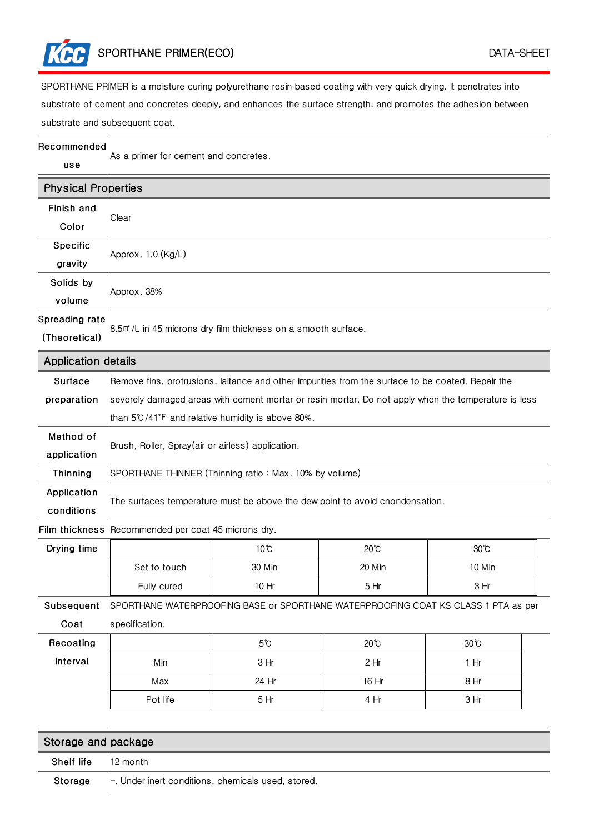SPORTHANE PRIMER(ECO) DATA-SHEET

SPORTHANE PRIMER is a moisture curing polyurethane resin based coating with very quick drying. It penetrates into substrate of cement and concretes deeply, and enhances the surface strength, and promotes the adhesion between substrate and subsequent coat.

| Recommended<br>use              | As a primer for cement and concretes.                                                                |                |                |                |  |
|---------------------------------|------------------------------------------------------------------------------------------------------|----------------|----------------|----------------|--|
| <b>Physical Properties</b>      |                                                                                                      |                |                |                |  |
| Finish and<br>Color             | Clear                                                                                                |                |                |                |  |
| Specific<br>gravity             | Approx. 1.0 (Kg/L)                                                                                   |                |                |                |  |
| Solids by<br>volume             | Approx. 38%                                                                                          |                |                |                |  |
| Spreading rate<br>(Theoretical) | 8.5 <sup>m</sup> <sup>*</sup> /L in 45 microns dry film thickness on a smooth surface.               |                |                |                |  |
| <b>Application details</b>      |                                                                                                      |                |                |                |  |
| Surface                         | Remove fins, protrusions, laitance and other impurities from the surface to be coated. Repair the    |                |                |                |  |
| preparation                     | severely damaged areas with cement mortar or resin mortar. Do not apply when the temperature is less |                |                |                |  |
|                                 | than 5°C/41°F and relative humidity is above 80%.                                                    |                |                |                |  |
| Method of<br>application        | Brush, Roller, Spray(air or airless) application.                                                    |                |                |                |  |
| Thinning                        | SPORTHANE THINNER (Thinning ratio: Max. 10% by volume)                                               |                |                |                |  |
| Application<br>conditions       | The surfaces temperature must be above the dew point to avoid cnondensation.                         |                |                |                |  |
| <b>Film thickness</b>           | Recommended per coat 45 microns dry.                                                                 |                |                |                |  |
| Drying time                     |                                                                                                      | $10^{\circ}$ C | $20^{\circ}$ C | $30^{\circ}$ C |  |
|                                 | Set to touch                                                                                         | 30 Min         | 20 Min         | 10 Min         |  |
|                                 | Fully cured                                                                                          | 10 Hr          | 5Hr            | 3 Hr           |  |
| Subsequent                      | SPORTHANE WATERPROOFING BASE or SPORTHANE WATERPROOFING COAT KS CLASS 1 PTA as per                   |                |                |                |  |
| Coat                            | specification.                                                                                       |                |                |                |  |
| Recoating                       |                                                                                                      | $5^\circ$ C    | $20^{\circ}$ C | $30^{\circ}$ C |  |
| interval                        | Min                                                                                                  | 3 Hr           | 2Hr            | 1 Hr           |  |
|                                 | Max                                                                                                  | 24 Hr          | 16 Hr          | 8 Hr           |  |
|                                 | Pot life                                                                                             | 5Hr            | 4 Hr           | 3Hr            |  |
|                                 |                                                                                                      |                |                |                |  |
| Storage and package             |                                                                                                      |                |                |                |  |
| Shelf life                      | 12 month                                                                                             |                |                |                |  |